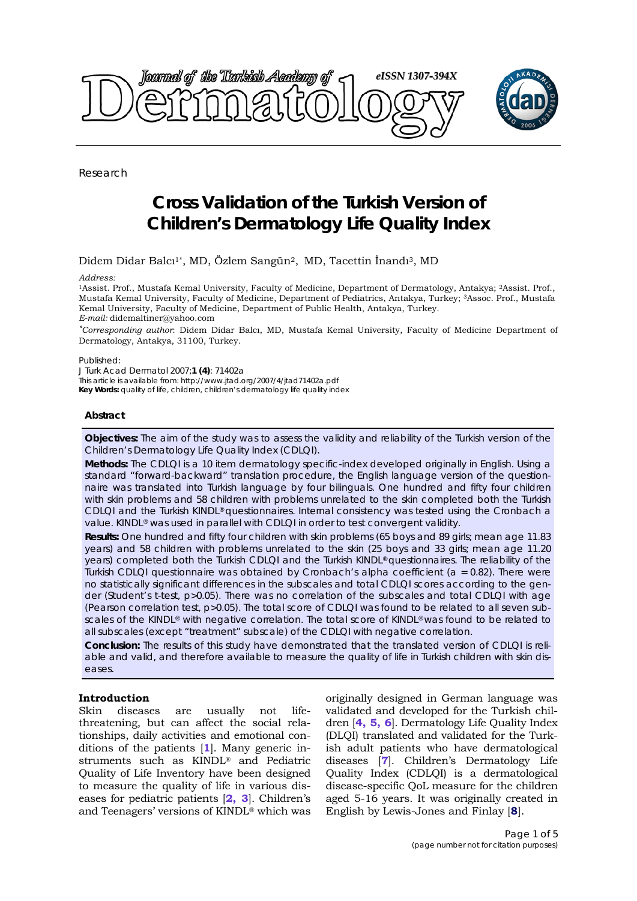

Research

# **Cross Validation of the Turkish Version of Children's Dermatology Life Quality Index**

Didem Didar Balcı1\*, MD, Özlem Sangün2, MD, Tacettin İnandı3, MD

#### *Address:*

1Assist. Prof., Mustafa Kemal University, Faculty of Medicine, Department of Dermatology, Antakya; 2Assist. Prof., Mustafa Kemal University, Faculty of Medicine, Department of Pediatrics, Antakya, Turkey; 3Assoc. Prof., Mustafa Kemal University, Faculty of Medicine, Department of Public Health, Antakya, Turkey. *E-mail:* didemaltiner@yahoo.com

*\*Corresponding author*: Didem Didar Balcı, MD, Mustafa Kemal University, Faculty of Medicine Department of Dermatology, Antakya, 31100, Turkey.

#### Published:

*J Turk Acad Dermatol* 2007;**1 (4)**: 71402a This article is available from: http://www.jtad.org/2007/4/jtad71402a.pdf **Key Words:** quality of life, children, children's dermatology life quality index

# **Abstract**

**Objectives:** The aim of the study was to assess the validity and reliability of the Turkish version of the Children's Dermatology Life Quality Index (CDLQI).

**Methods:** The CDLQI is a 10 item dermatology specific-index developed originally in English. Using a standard "forward-backward" translation procedure, the English language version of the questionnaire was translated into Turkish language by four bilinguals. One hundred and fifty four children with skin problems and 58 children with problems unrelated to the skin completed both the Turkish CDLQI and the Turkish KINDL® questionnaires. Internal consistency was tested using the *Cronbach* a value. KINDL® was used in parallel with CDLQI in order to test convergent validity.

**Results:** One hundred and fifty four children with skin problems (65 boys and 89 girls; mean age 11.83 years) and 58 children with problems unrelated to the skin (25 boys and 33 girls; mean age 11.20 years) completed both the Turkish CDLQI and the Turkish KINDL® questionnaires. The reliability of the Turkish CDLQI questionnaire was obtained by *Cronbach*'s alpha coefficient (a = 0.82). There were no statistically significant differences in the subscales and total CDLQI scores according to the gender (*Student*'s t-test, p>0.05). There was no correlation of the subscales and total CDLQI with age (*Pearson* correlation test, p>0.05). The total score of CDLQI was found to be related to all seven subscales of the KINDL® with negative correlation. The total score of KINDL® was found to be related to all subscales (except "treatment" subscale) of the CDLQI with negative correlation.

**Conclusion:** The results of this study have demonstrated that the translated version of CDLQI is reliable and valid, and therefore available to measure the quality of life in Turkish children with skin diseases.

# **Introduction**

Skin diseases are usually not lifethreatening, but can affect the social relationships, daily activities and emotional conditions of the patients [**1**]. Many generic instruments such as KINDL® and Pediatric Quality of Life Inventory have been designed to measure the quality of life in various diseases for pediatric patients [**2, 3**]. Children's and Teenagers' versions of KINDL® which was

originally designed in German language was validated and developed for the Turkish children [**4, 5, 6**]. Dermatology Life Quality Index (DLQI) translated and validated for the Turkish adult patients who have dermatological diseases [**7**]. Children's Dermatology Life Quality Index (CDLQI) is a dermatological disease-specific QoL measure for the children aged 5-16 years. It was originally created in English by Lewis-Jones and Finlay [**8**].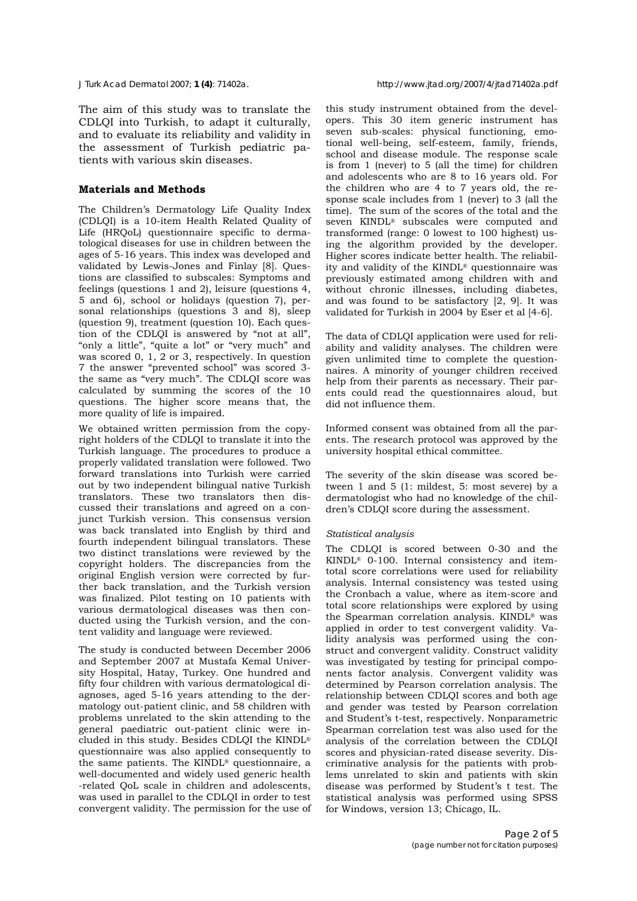The aim of this study was to translate the CDLQI into Turkish, to adapt it culturally, and to evaluate its reliability and validity in the assessment of Turkish pediatric patients with various skin diseases.

### **Materials and Methods**

The Children's Dermatology Life Quality Index (CDLQI) is a 10-item Health Related Quality of Life (HRQoL) questionnaire specific to dermatological diseases for use in children between the ages of 5-16 years. This index was developed and validated by Lewis-Jones and Finlay [8]. Questions are classified to subscales: Symptoms and feelings (questions 1 and 2), leisure (questions 4, 5 and 6), school or holidays (question 7), personal relationships (questions 3 and 8), sleep (question 9), treatment (question 10). Each question of the CDLQI is answered by "not at all", "only a little", "quite a lot" or "very much" and was scored 0, 1, 2 or 3, respectively. In question 7 the answer "prevented school" was scored 3 the same as "very much". The CDLQI score was calculated by summing the scores of the 10 questions. The higher score means that, the more quality of life is impaired.

We obtained written permission from the copyright holders of the CDLQI to translate it into the Turkish language. The procedures to produce a properly validated translation were followed. Two forward translations into Turkish were carried out by two independent bilingual native Turkish translators. These two translators then discussed their translations and agreed on a conjunct Turkish version. This consensus version was back translated into English by third and fourth independent bilingual translators. These two distinct translations were reviewed by the copyright holders. The discrepancies from the original English version were corrected by further back translation, and the Turkish version was finalized. Pilot testing on 10 patients with various dermatological diseases was then conducted using the Turkish version, and the content validity and language were reviewed.

The study is conducted between December 2006 and September 2007 at Mustafa Kemal University Hospital, Hatay, Turkey. One hundred and fifty four children with various dermatological diagnoses, aged 5-16 years attending to the dermatology out-patient clinic, and 58 children with problems unrelated to the skin attending to the general paediatric out-patient clinic were included in this study. Besides CDLQI the KINDL® questionnaire was also applied consequently to the same patients. The KINDL® questionnaire, a well-documented and widely used generic health -related QoL scale in children and adolescents, was used in parallel to the CDLQI in order to test convergent validity. The permission for the use of this study instrument obtained from the developers. This 30 item generic instrument has seven sub-scales: physical functioning, emotional well-being, self-esteem, family, friends, school and disease module. The response scale is from 1 (never) to 5 (all the time) for children and adolescents who are 8 to 16 years old. For the children who are 4 to 7 years old, the response scale includes from 1 (never) to 3 (all the time). The sum of the scores of the total and the seven KINDL® subscales were computed and transformed (range: 0 lowest to 100 highest) using the algorithm provided by the developer. Higher scores indicate better health. The reliability and validity of the KINDL® questionnaire was previously estimated among children with and without chronic illnesses, including diabetes, and was found to be satisfactory [2, 9]. It was validated for Turkish in 2004 by Eser et al [4-6].

The data of CDLQI application were used for reliability and validity analyses. The children were given unlimited time to complete the questionnaires. A minority of younger children received help from their parents as necessary. Their parents could read the questionnaires aloud, but did not influence them.

Informed consent was obtained from all the parents. The research protocol was approved by the university hospital ethical committee.

The severity of the skin disease was scored between 1 and 5 (1: mildest, 5: most severe) by a dermatologist who had no knowledge of the children's CDLQI score during the assessment.

#### *Statistical analysis*

The CDLQI is scored between 0-30 and the KINDL® 0-100. Internal consistency and itemtotal score correlations were used for reliability analysis. Internal consistency was tested using the Cronbach a value, where as item-score and total score relationships were explored by using the Spearman correlation analysis. KINDL® was applied in order to test convergent validity. Validity analysis was performed using the construct and convergent validity. Construct validity was investigated by testing for principal components factor analysis. Convergent validity was determined by Pearson correlation analysis. The relationship between CDLQI scores and both age and gender was tested by Pearson correlation and Student's t-test, respectively. Nonparametric Spearman correlation test was also used for the analysis of the correlation between the CDLQI scores and physician-rated disease severity. Discriminative analysis for the patients with problems unrelated to skin and patients with skin disease was performed by Student's t test. The statistical analysis was performed using SPSS for Windows, version 13; Chicago, IL.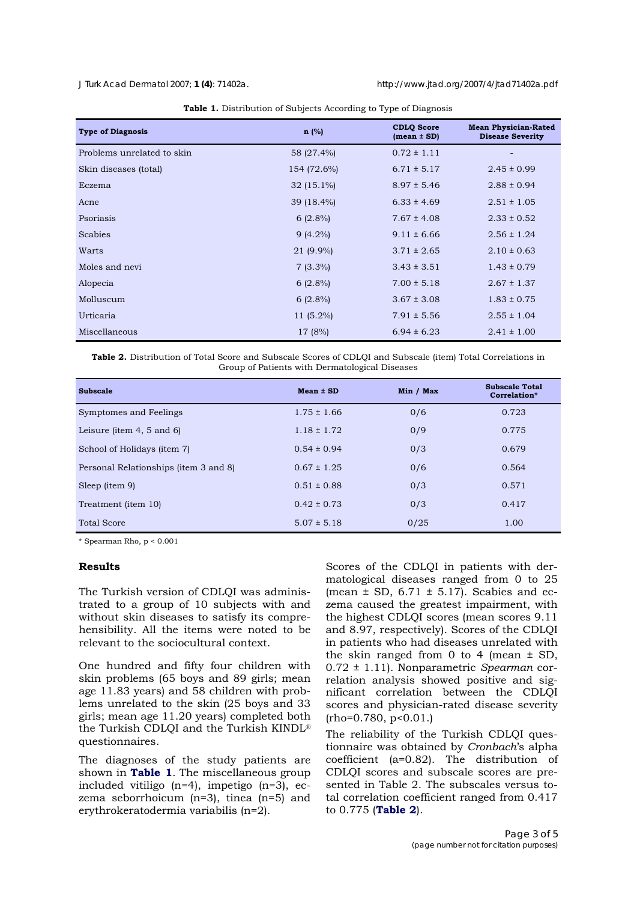*J Turk Acad Dermatol* 2007; **1 (4)**: 71402a. http://www.jtad.org/2007/4/jtad71402a.pdf

| <b>Type of Diagnosis</b>   | $n$ (%)      | <b>CDLO</b> Score<br>$mean \pm SD$ | <b>Mean Physician-Rated</b><br><b>Disease Severity</b> |
|----------------------------|--------------|------------------------------------|--------------------------------------------------------|
| Problems unrelated to skin | 58 (27.4%)   | $0.72 \pm 1.11$                    | $\overline{\phantom{0}}$                               |
| Skin diseases (total)      | 154 (72.6%)  | $6.71 \pm 5.17$                    | $2.45 \pm 0.99$                                        |
| Eczema                     | $32(15.1\%)$ | $8.97 \pm 5.46$                    | $2.88 \pm 0.94$                                        |
| Acne                       | 39 (18.4%)   | $6.33 \pm 4.69$                    | $2.51 \pm 1.05$                                        |
| Psoriasis                  | $6(2.8\%)$   | $7.67 \pm 4.08$                    | $2.33 \pm 0.52$                                        |
| Scabies                    | $9(4.2\%)$   | $9.11 \pm 6.66$                    | $2.56 \pm 1.24$                                        |
| Warts                      | 21 (9.9%)    | $3.71 \pm 2.65$                    | $2.10 \pm 0.63$                                        |
| Moles and nevi             | $7(3.3\%)$   | $3.43 \pm 3.51$                    | $1.43 \pm 0.79$                                        |
| Alopecia                   | $6(2.8\%)$   | $7.00 \pm 5.18$                    | $2.67 \pm 1.37$                                        |
| Molluscum                  | $6(2.8\%)$   | $3.67 \pm 3.08$                    | $1.83 \pm 0.75$                                        |
| Urticaria                  | $11(5.2\%)$  | $7.91 \pm 5.56$                    | $2.55 \pm 1.04$                                        |
| Miscellaneous              | 17 (8%)      | $6.94 \pm 6.23$                    | $2.41 \pm 1.00$                                        |

|  |  |  |  | Table 1. Distribution of Subjects According to Type of Diagnosis |  |  |
|--|--|--|--|------------------------------------------------------------------|--|--|
|--|--|--|--|------------------------------------------------------------------|--|--|

**Table 2.** Distribution of Total Score and Subscale Scores of CDLQI and Subscale (item) Total Correlations in Group of Patients with Dermatological Diseases

| <b>Subscale</b>                       | $Mean \pm SD$   | Min / Max | <b>Subscale Total</b><br>Correlation* |
|---------------------------------------|-----------------|-----------|---------------------------------------|
| Symptomes and Feelings                | $1.75 \pm 1.66$ | 0/6       | 0.723                                 |
| Leisure (item $4, 5$ and $6$ )        | $1.18 \pm 1.72$ | 0/9       | 0.775                                 |
| School of Holidays (item 7)           | $0.54 \pm 0.94$ | 0/3       | 0.679                                 |
| Personal Relationships (item 3 and 8) | $0.67 \pm 1.25$ | 0/6       | 0.564                                 |
| Sleep (item 9)                        | $0.51 \pm 0.88$ | 0/3       | 0.571                                 |
| Treatment (item 10)                   | $0.42 \pm 0.73$ | 0/3       | 0.417                                 |
| <b>Total Score</b>                    | $5.07 \pm 5.18$ | 0/25      | 1.00                                  |

\* Spearman Rho, p < 0.001

# **Results**

The Turkish version of CDLQI was administrated to a group of 10 subjects with and without skin diseases to satisfy its comprehensibility. All the items were noted to be relevant to the sociocultural context.

One hundred and fifty four children with skin problems (65 boys and 89 girls; mean age 11.83 years) and 58 children with problems unrelated to the skin (25 boys and 33 girls; mean age 11.20 years) completed both the Turkish CDLQI and the Turkish KINDL® questionnaires.

The diagnoses of the study patients are shown in **Table 1**. The miscellaneous group included vitiligo (n=4), impetigo (n=3), eczema seborrhoicum (n=3), tinea (n=5) and erythrokeratodermia variabilis (n=2).

Scores of the CDLQI in patients with dermatological diseases ranged from 0 to 25 (mean  $\pm$  SD, 6.71  $\pm$  5.17). Scabies and eczema caused the greatest impairment, with the highest CDLQI scores (mean scores 9.11 and 8.97, respectively). Scores of the CDLQI in patients who had diseases unrelated with the skin ranged from 0 to 4 (mean ± SD, 0.72 ± 1.11). Nonparametric *Spearman* correlation analysis showed positive and significant correlation between the CDLQI scores and physician-rated disease severity  $(rho=0.780, p<0.01.)$ 

The reliability of the Turkish CDLQI questionnaire was obtained by *Cronbach*'s alpha coefficient (a=0.82). The distribution of CDLQI scores and subscale scores are presented in Table 2. The subscales versus total correlation coefficient ranged from 0.417 to 0.775 (**Table 2**).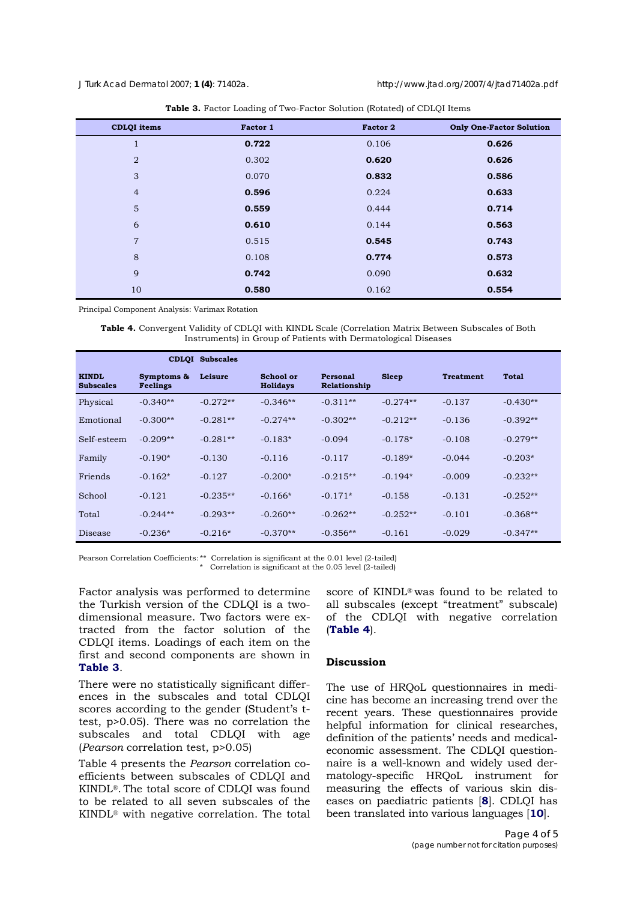| <b>CDLQI</b> items | Factor 1 | Factor 2 | <b>Only One-Factor Solution</b> |
|--------------------|----------|----------|---------------------------------|
| ш                  | 0.722    | 0.106    | 0.626                           |
| $\overline{2}$     | 0.302    | 0.620    | 0.626                           |
| 3                  | 0.070    | 0.832    | 0.586                           |
| $\overline{4}$     | 0.596    | 0.224    | 0.633                           |
| 5                  | 0.559    | 0.444    | 0.714                           |
| 6                  | 0.610    | 0.144    | 0.563                           |
| $\overline{7}$     | 0.515    | 0.545    | 0.743                           |
| 8                  | 0.108    | 0.774    | 0.573                           |
| 9                  | 0.742    | 0.090    | 0.632                           |
| 10                 | 0.580    | 0.162    | 0.554                           |

| Table 3. Factor Loading of Two-Factor Solution (Rotated) of CDLQI Items |
|-------------------------------------------------------------------------|
|-------------------------------------------------------------------------|

Principal Component Analysis: Varimax Rotation

**Table 4.** Convergent Validity of CDLQI with KINDL Scale (Correlation Matrix Between Subscales of Both Instruments) in Group of Patients with Dermatological Diseases

|                                  |                               | <b>CDLOI</b> Subscales |                              |                          |              |                  |              |
|----------------------------------|-------------------------------|------------------------|------------------------------|--------------------------|--------------|------------------|--------------|
| <b>KINDL</b><br><b>Subscales</b> | Symptoms &<br><b>Feelings</b> | Leisure                | School or<br><b>Holidays</b> | Personal<br>Relationship | <b>Sleep</b> | <b>Treatment</b> | <b>Total</b> |
| Physical                         | $-0.340**$                    | $-0.272**$             | $-0.346**$                   | $-0.311**$               | $-0.274**$   | $-0.137$         | $-0.430**$   |
| Emotional                        | $-0.300**$                    | $-0.281**$             | $-0.274**$                   | $-0.302**$               | $-0.212**$   | $-0.136$         | $-0.392**$   |
| Self-esteem                      | $-0.209**$                    | $-0.281**$             | $-0.183*$                    | $-0.094$                 | $-0.178*$    | $-0.108$         | $-0.279**$   |
| Family                           | $-0.190*$                     | $-0.130$               | $-0.116$                     | $-0.117$                 | $-0.189*$    | $-0.044$         | $-0.203*$    |
| Friends                          | $-0.162*$                     | $-0.127$               | $-0.200*$                    | $-0.215**$               | $-0.194*$    | $-0.009$         | $-0.232**$   |
| School                           | $-0.121$                      | $-0.235**$             | $-0.166*$                    | $-0.171*$                | $-0.158$     | $-0.131$         | $-0.252**$   |
| Total                            | $-0.244**$                    | $-0.293**$             | $-0.260**$                   | $-0.262**$               | $-0.252**$   | $-0.101$         | $-0.368**$   |
| Disease                          | $-0.236*$                     | $-0.216*$              | $-0.370**$                   | $-0.356**$               | $-0.161$     | $-0.029$         | $-0.347**$   |

Pearson Correlation Coefficients: \*\* Correlation is significant at the 0.01 level (2-tailed)

\* Correlation is significant at the 0.05 level (2-tailed)

Factor analysis was performed to determine the Turkish version of the CDLQI is a twodimensional measure. Two factors were extracted from the factor solution of the CDLQI items. Loadings of each item on the first and second components are shown in **Table 3**.

There were no statistically significant differences in the subscales and total CDLQI scores according to the gender (Student's ttest, p>0.05). There was no correlation the subscales and total CDLQI with age (*Pearson* correlation test, p>0.05)

Table 4 presents the *Pearson* correlation coefficients between subscales of CDLQI and KINDL®. The total score of CDLQI was found to be related to all seven subscales of the KINDL® with negative correlation. The total

score of KINDL® was found to be related to all subscales (except "treatment" subscale) of the CDLQI with negative correlation (**Table 4**).

# **Discussion**

The use of HRQoL questionnaires in medicine has become an increasing trend over the recent years. These questionnaires provide helpful information for clinical researches, definition of the patients' needs and medicaleconomic assessment. The CDLQI questionnaire is a well-known and widely used dermatology-specific HRQoL instrument for measuring the effects of various skin diseases on paediatric patients [**8**]. CDLQI has been translated into various languages [**10**].